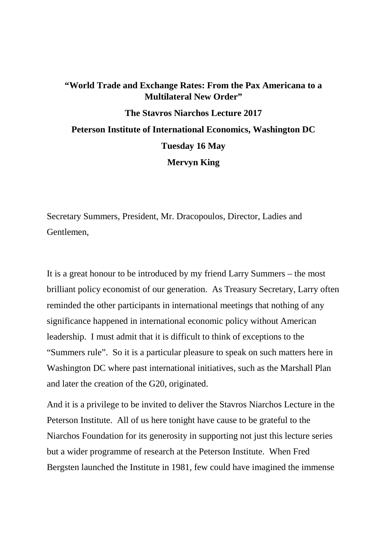# **"World Trade and Exchange Rates: From the Pax Americana to a Multilateral New Order" The Stavros Niarchos Lecture 2017 Peterson Institute of International Economics, Washington DC Tuesday 16 May Mervyn King**

Secretary Summers, President, Mr. Dracopoulos, Director, Ladies and Gentlemen,

It is a great honour to be introduced by my friend Larry Summers – the most brilliant policy economist of our generation. As Treasury Secretary, Larry often reminded the other participants in international meetings that nothing of any significance happened in international economic policy without American leadership. I must admit that it is difficult to think of exceptions to the "Summers rule". So it is a particular pleasure to speak on such matters here in Washington DC where past international initiatives, such as the Marshall Plan and later the creation of the G20, originated.

And it is a privilege to be invited to deliver the Stavros Niarchos Lecture in the Peterson Institute. All of us here tonight have cause to be grateful to the Niarchos Foundation for its generosity in supporting not just this lecture series but a wider programme of research at the Peterson Institute. When Fred Bergsten launched the Institute in 1981, few could have imagined the immense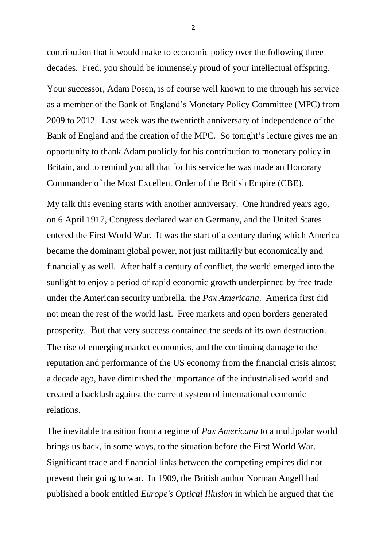contribution that it would make to economic policy over the following three decades. Fred, you should be immensely proud of your intellectual offspring.

Your successor, Adam Posen, is of course well known to me through his service as a member of the Bank of England's Monetary Policy Committee (MPC) from 2009 to 2012. Last week was the twentieth anniversary of independence of the Bank of England and the creation of the MPC. So tonight's lecture gives me an opportunity to thank Adam publicly for his contribution to monetary policy in Britain, and to remind you all that for his service he was made an Honorary Commander of the Most Excellent Order of the British Empire (CBE).

My talk this evening starts with another anniversary. One hundred years ago, on 6 April 1917, Congress declared war on Germany, and the United States entered the First World War. It was the start of a century during which America became the dominant global power, not just militarily but economically and financially as well. After half a century of conflict, the world emerged into the sunlight to enjoy a period of rapid economic growth underpinned by free trade under the American security umbrella, the *Pax Americana*. America first did not mean the rest of the world last. Free markets and open borders generated prosperity. But that very success contained the seeds of its own destruction. The rise of emerging market economies, and the continuing damage to the reputation and performance of the US economy from the financial crisis almost a decade ago, have diminished the importance of the industrialised world and created a backlash against the current system of international economic relations.

The inevitable transition from a regime of *Pax Americana* to a multipolar world brings us back, in some ways, to the situation before the First World War. Significant trade and financial links between the competing empires did not prevent their going to war. In 1909, the British author Norman Angell had published a book entitled *Europe's Optical Illusion* in which he argued that the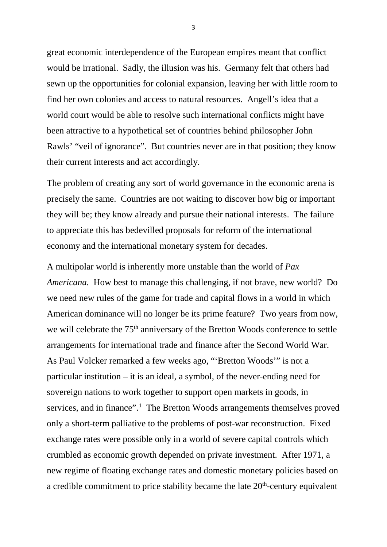great economic interdependence of the European empires meant that conflict would be irrational. Sadly, the illusion was his. Germany felt that others had sewn up the opportunities for colonial expansion, leaving her with little room to find her own colonies and access to natural resources. Angell's idea that a world court would be able to resolve such international conflicts might have been attractive to a hypothetical set of countries behind philosopher John Rawls' "veil of ignorance". But countries never are in that position; they know their current interests and act accordingly.

The problem of creating any sort of world governance in the economic arena is precisely the same. Countries are not waiting to discover how big or important they will be; they know already and pursue their national interests. The failure to appreciate this has bedevilled proposals for reform of the international economy and the international monetary system for decades.

A multipolar world is inherently more unstable than the world of *Pax Americana.* How best to manage this challenging, if not brave, new world? Do we need new rules of the game for trade and capital flows in a world in which American dominance will no longer be its prime feature? Two years from now, we will celebrate the 75<sup>th</sup> anniversary of the Bretton Woods conference to settle arrangements for international trade and finance after the Second World War. As Paul Volcker remarked a few weeks ago, "'Bretton Woods'" is not a particular institution – it is an ideal, a symbol, of the never-ending need for sovereign nations to work together to support open markets in goods, in services, and in finance".<sup>[1](#page-24-0)</sup> The Bretton Woods arrangements themselves proved only a short-term palliative to the problems of post-war reconstruction. Fixed exchange rates were possible only in a world of severe capital controls which crumbled as economic growth depended on private investment. After 1971, a new regime of floating exchange rates and domestic monetary policies based on a credible commitment to price stability became the late  $20<sup>th</sup>$ -century equivalent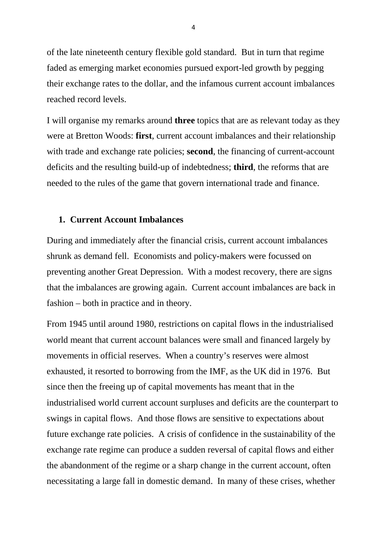of the late nineteenth century flexible gold standard. But in turn that regime faded as emerging market economies pursued export-led growth by pegging their exchange rates to the dollar, and the infamous current account imbalances reached record levels.

I will organise my remarks around **three** topics that are as relevant today as they were at Bretton Woods: **first**, current account imbalances and their relationship with trade and exchange rate policies; **second**, the financing of current-account deficits and the resulting build-up of indebtedness; **third**, the reforms that are needed to the rules of the game that govern international trade and finance.

### **1. Current Account Imbalances**

During and immediately after the financial crisis, current account imbalances shrunk as demand fell. Economists and policy-makers were focussed on preventing another Great Depression. With a modest recovery, there are signs that the imbalances are growing again. Current account imbalances are back in fashion – both in practice and in theory.

From 1945 until around 1980, restrictions on capital flows in the industrialised world meant that current account balances were small and financed largely by movements in official reserves. When a country's reserves were almost exhausted, it resorted to borrowing from the IMF, as the UK did in 1976. But since then the freeing up of capital movements has meant that in the industrialised world current account surpluses and deficits are the counterpart to swings in capital flows. And those flows are sensitive to expectations about future exchange rate policies. A crisis of confidence in the sustainability of the exchange rate regime can produce a sudden reversal of capital flows and either the abandonment of the regime or a sharp change in the current account, often necessitating a large fall in domestic demand. In many of these crises, whether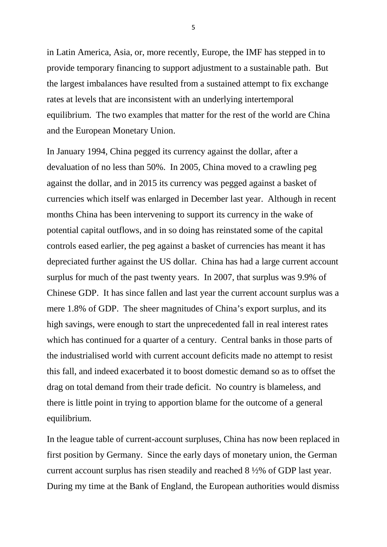in Latin America, Asia, or, more recently, Europe, the IMF has stepped in to provide temporary financing to support adjustment to a sustainable path. But the largest imbalances have resulted from a sustained attempt to fix exchange rates at levels that are inconsistent with an underlying intertemporal equilibrium. The two examples that matter for the rest of the world are China and the European Monetary Union.

In January 1994, China pegged its currency against the dollar, after a devaluation of no less than 50%. In 2005, China moved to a crawling peg against the dollar, and in 2015 its currency was pegged against a basket of currencies which itself was enlarged in December last year. Although in recent months China has been intervening to support its currency in the wake of potential capital outflows, and in so doing has reinstated some of the capital controls eased earlier, the peg against a basket of currencies has meant it has depreciated further against the US dollar. China has had a large current account surplus for much of the past twenty years. In 2007, that surplus was 9.9% of Chinese GDP. It has since fallen and last year the current account surplus was a mere 1.8% of GDP. The sheer magnitudes of China's export surplus, and its high savings, were enough to start the unprecedented fall in real interest rates which has continued for a quarter of a century. Central banks in those parts of the industrialised world with current account deficits made no attempt to resist this fall, and indeed exacerbated it to boost domestic demand so as to offset the drag on total demand from their trade deficit. No country is blameless, and there is little point in trying to apportion blame for the outcome of a general equilibrium.

In the league table of current-account surpluses, China has now been replaced in first position by Germany. Since the early days of monetary union, the German current account surplus has risen steadily and reached 8 ½% of GDP last year. During my time at the Bank of England, the European authorities would dismiss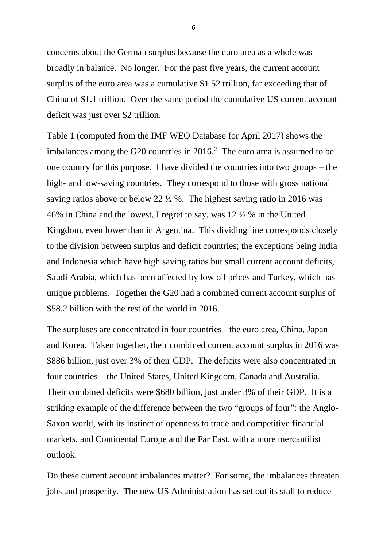concerns about the German surplus because the euro area as a whole was broadly in balance. No longer. For the past five years, the current account surplus of the euro area was a cumulative \$1.52 trillion, far exceeding that of China of \$1.1 trillion. Over the same period the cumulative US current account deficit was just over \$2 trillion.

Table 1 (computed from the IMF WEO Database for April 2017) shows the imbalances among the G20 countries in 2016. [2](#page-24-1) The euro area is assumed to be one country for this purpose. I have divided the countries into two groups – the high- and low-saving countries. They correspond to those with gross national saving ratios above or below 22  $\frac{1}{2}$  %. The highest saving ratio in 2016 was 46% in China and the lowest, I regret to say, was 12 ½ % in the United Kingdom, even lower than in Argentina. This dividing line corresponds closely to the division between surplus and deficit countries; the exceptions being India and Indonesia which have high saving ratios but small current account deficits, Saudi Arabia, which has been affected by low oil prices and Turkey, which has unique problems. Together the G20 had a combined current account surplus of \$58.2 billion with the rest of the world in 2016.

The surpluses are concentrated in four countries - the euro area, China, Japan and Korea. Taken together, their combined current account surplus in 2016 was \$886 billion, just over 3% of their GDP. The deficits were also concentrated in four countries – the United States, United Kingdom, Canada and Australia. Their combined deficits were \$680 billion, just under 3% of their GDP. It is a striking example of the difference between the two "groups of four": the Anglo-Saxon world, with its instinct of openness to trade and competitive financial markets, and Continental Europe and the Far East, with a more mercantilist outlook.

Do these current account imbalances matter? For some, the imbalances threaten jobs and prosperity. The new US Administration has set out its stall to reduce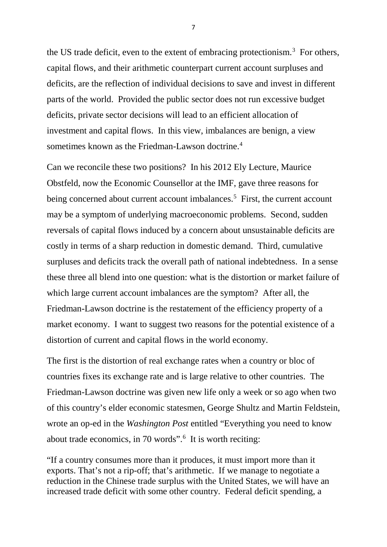the US trade deficit, even to the extent of embracing protectionism.<sup>[3](#page-24-2)</sup> For others, capital flows, and their arithmetic counterpart current account surpluses and deficits, are the reflection of individual decisions to save and invest in different parts of the world. Provided the public sector does not run excessive budget deficits, private sector decisions will lead to an efficient allocation of investment and capital flows. In this view, imbalances are benign, a view sometimes known as the Friedman-Lawson doctrine. [4](#page-24-3)

Can we reconcile these two positions? In his 2012 Ely Lecture, Maurice Obstfeld, now the Economic Counsellor at the IMF, gave three reasons for being concerned about current account imbalances.<sup>5</sup> First, the current account may be a symptom of underlying macroeconomic problems. Second, sudden reversals of capital flows induced by a concern about unsustainable deficits are costly in terms of a sharp reduction in domestic demand. Third, cumulative surpluses and deficits track the overall path of national indebtedness. In a sense these three all blend into one question: what is the distortion or market failure of which large current account imbalances are the symptom? After all, the Friedman-Lawson doctrine is the restatement of the efficiency property of a market economy. I want to suggest two reasons for the potential existence of a distortion of current and capital flows in the world economy.

The first is the distortion of real exchange rates when a country or bloc of countries fixes its exchange rate and is large relative to other countries. The Friedman-Lawson doctrine was given new life only a week or so ago when two of this country's elder economic statesmen, George Shultz and Martin Feldstein, wrote an op-ed in the *Washington Post* entitled "Everything you need to know about trade economics, in 70 words".<sup>[6](#page-24-5)</sup> It is worth reciting:

"If a country consumes more than it produces, it must import more than it exports. That's not a rip-off; that's arithmetic. If we manage to negotiate a reduction in the Chinese trade surplus with the United States, we will have an increased trade deficit with some other country. Federal deficit spending, a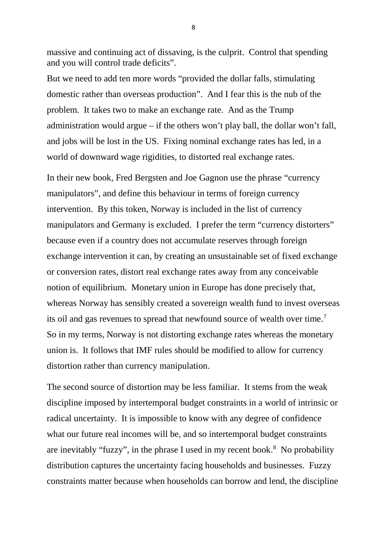massive and continuing act of dissaving, is the culprit. Control that spending and you will control trade deficits".

But we need to add ten more words "provided the dollar falls, stimulating domestic rather than overseas production". And I fear this is the nub of the problem. It takes two to make an exchange rate. And as the Trump administration would argue – if the others won't play ball, the dollar won't fall, and jobs will be lost in the US. Fixing nominal exchange rates has led, in a world of downward wage rigidities, to distorted real exchange rates.

In their new book, Fred Bergsten and Joe Gagnon use the phrase "currency manipulators", and define this behaviour in terms of foreign currency intervention. By this token, Norway is included in the list of currency manipulators and Germany is excluded. I prefer the term "currency distorters" because even if a country does not accumulate reserves through foreign exchange intervention it can, by creating an unsustainable set of fixed exchange or conversion rates, distort real exchange rates away from any conceivable notion of equilibrium. Monetary union in Europe has done precisely that, whereas Norway has sensibly created a sovereign wealth fund to invest overseas its oil and gas revenues to spread that newfound source of wealth over time.<sup>[7](#page-24-6)</sup> So in my terms, Norway is not distorting exchange rates whereas the monetary union is. It follows that IMF rules should be modified to allow for currency distortion rather than currency manipulation.

The second source of distortion may be less familiar. It stems from the weak discipline imposed by intertemporal budget constraints in a world of intrinsic or radical uncertainty. It is impossible to know with any degree of confidence what our future real incomes will be, and so intertemporal budget constraints are inevitably "fuzzy", in the phrase I used in my recent book.<sup>8</sup> No probability distribution captures the uncertainty facing households and businesses. Fuzzy constraints matter because when households can borrow and lend, the discipline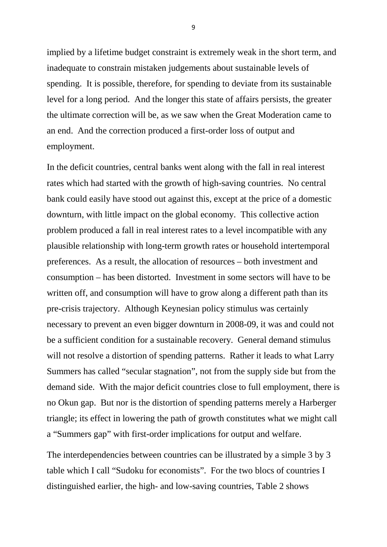implied by a lifetime budget constraint is extremely weak in the short term, and inadequate to constrain mistaken judgements about sustainable levels of spending. It is possible, therefore, for spending to deviate from its sustainable level for a long period. And the longer this state of affairs persists, the greater the ultimate correction will be, as we saw when the Great Moderation came to an end. And the correction produced a first-order loss of output and employment.

In the deficit countries, central banks went along with the fall in real interest rates which had started with the growth of high-saving countries. No central bank could easily have stood out against this, except at the price of a domestic downturn, with little impact on the global economy. This collective action problem produced a fall in real interest rates to a level incompatible with any plausible relationship with long-term growth rates or household intertemporal preferences. As a result, the allocation of resources – both investment and consumption – has been distorted. Investment in some sectors will have to be written off, and consumption will have to grow along a different path than its pre-crisis trajectory. Although Keynesian policy stimulus was certainly necessary to prevent an even bigger downturn in 2008-09, it was and could not be a sufficient condition for a sustainable recovery. General demand stimulus will not resolve a distortion of spending patterns. Rather it leads to what Larry Summers has called "secular stagnation", not from the supply side but from the demand side. With the major deficit countries close to full employment, there is no Okun gap. But nor is the distortion of spending patterns merely a Harberger triangle; its effect in lowering the path of growth constitutes what we might call a "Summers gap" with first-order implications for output and welfare.

The interdependencies between countries can be illustrated by a simple 3 by 3 table which I call "Sudoku for economists". For the two blocs of countries I distinguished earlier, the high- and low-saving countries, Table 2 shows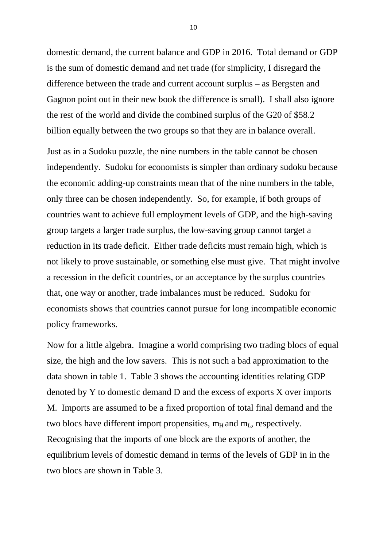domestic demand, the current balance and GDP in 2016. Total demand or GDP is the sum of domestic demand and net trade (for simplicity, I disregard the difference between the trade and current account surplus – as Bergsten and Gagnon point out in their new book the difference is small). I shall also ignore the rest of the world and divide the combined surplus of the G20 of \$58.2 billion equally between the two groups so that they are in balance overall.

Just as in a Sudoku puzzle, the nine numbers in the table cannot be chosen independently. Sudoku for economists is simpler than ordinary sudoku because the economic adding-up constraints mean that of the nine numbers in the table, only three can be chosen independently. So, for example, if both groups of countries want to achieve full employment levels of GDP, and the high-saving group targets a larger trade surplus, the low-saving group cannot target a reduction in its trade deficit. Either trade deficits must remain high, which is not likely to prove sustainable, or something else must give. That might involve a recession in the deficit countries, or an acceptance by the surplus countries that, one way or another, trade imbalances must be reduced. Sudoku for economists shows that countries cannot pursue for long incompatible economic policy frameworks.

Now for a little algebra. Imagine a world comprising two trading blocs of equal size, the high and the low savers. This is not such a bad approximation to the data shown in table 1. Table 3 shows the accounting identities relating GDP denoted by Y to domestic demand D and the excess of exports X over imports M. Imports are assumed to be a fixed proportion of total final demand and the two blocs have different import propensities,  $m_H$  and  $m_L$ , respectively. Recognising that the imports of one block are the exports of another, the equilibrium levels of domestic demand in terms of the levels of GDP in in the two blocs are shown in Table 3.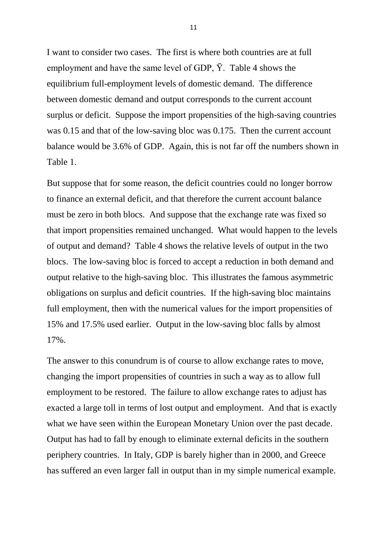I want to consider two cases. The first is where both countries are at full employment and have the same level of GDP,  $\bar{Y}$ . Table 4 shows the equilibrium full-employment levels of domestic demand. The difference between domestic demand and output corresponds to the current account surplus or deficit. Suppose the import propensities of the high-saving countries was 0.15 and that of the low-saving bloc was 0.175. Then the current account balance would be 3.6% of GDP. Again, this is not far off the numbers shown in Table 1.

But suppose that for some reason, the deficit countries could no longer borrow to finance an external deficit, and that therefore the current account balance must be zero in both blocs. And suppose that the exchange rate was fixed so that import propensities remained unchanged. What would happen to the levels of output and demand? Table 4 shows the relative levels of output in the two blocs. The low-saving bloc is forced to accept a reduction in both demand and output relative to the high-saving bloc. This illustrates the famous asymmetric obligations on surplus and deficit countries. If the high-saving bloc maintains full employment, then with the numerical values for the import propensities of 15% and 17.5% used earlier. Output in the low-saving bloc falls by almost 17%.

The answer to this conundrum is of course to allow exchange rates to move, changing the import propensities of countries in such a way as to allow full employment to be restored. The failure to allow exchange rates to adjust has exacted a large toll in terms of lost output and employment. And that is exactly what we have seen within the European Monetary Union over the past decade. Output has had to fall by enough to eliminate external deficits in the southern periphery countries. In Italy, GDP is barely higher than in 2000, and Greece has suffered an even larger fall in output than in my simple numerical example.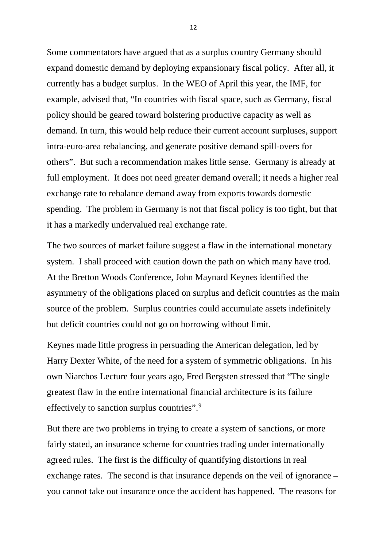Some commentators have argued that as a surplus country Germany should expand domestic demand by deploying expansionary fiscal policy. After all, it currently has a budget surplus. In the WEO of April this year, the IMF, for example, advised that, "In countries with fiscal space, such as Germany, fiscal policy should be geared toward bolstering productive capacity as well as demand. In turn, this would help reduce their current account surpluses, support intra-euro-area rebalancing, and generate positive demand spill-overs for others". But such a recommendation makes little sense. Germany is already at full employment. It does not need greater demand overall; it needs a higher real exchange rate to rebalance demand away from exports towards domestic spending. The problem in Germany is not that fiscal policy is too tight, but that it has a markedly undervalued real exchange rate.

The two sources of market failure suggest a flaw in the international monetary system. I shall proceed with caution down the path on which many have trod. At the Bretton Woods Conference, John Maynard Keynes identified the asymmetry of the obligations placed on surplus and deficit countries as the main source of the problem. Surplus countries could accumulate assets indefinitely but deficit countries could not go on borrowing without limit.

Keynes made little progress in persuading the American delegation, led by Harry Dexter White, of the need for a system of symmetric obligations. In his own Niarchos Lecture four years ago, Fred Bergsten stressed that "The single greatest flaw in the entire international financial architecture is its failure effectively to sanction surplus countries".<sup>[9](#page-24-8)</sup>

But there are two problems in trying to create a system of sanctions, or more fairly stated, an insurance scheme for countries trading under internationally agreed rules. The first is the difficulty of quantifying distortions in real exchange rates. The second is that insurance depends on the veil of ignorance – you cannot take out insurance once the accident has happened. The reasons for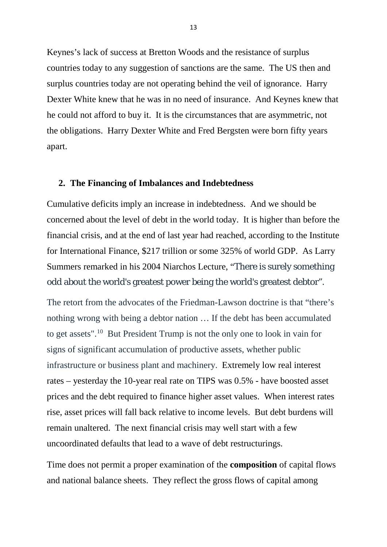Keynes's lack of success at Bretton Woods and the resistance of surplus countries today to any suggestion of sanctions are the same. The US then and surplus countries today are not operating behind the veil of ignorance. Harry Dexter White knew that he was in no need of insurance. And Keynes knew that he could not afford to buy it. It is the circumstances that are asymmetric, not the obligations. Harry Dexter White and Fred Bergsten were born fifty years apart.

### **2. The Financing of Imbalances and Indebtedness**

Cumulative deficits imply an increase in indebtedness. And we should be concerned about the level of debt in the world today. It is higher than before the financial crisis, and at the end of last year had reached, according to the Institute for International Finance, \$217 trillion or some 325% of world GDP. As Larry Summers remarked in his 2004 Niarchos Lecture, "There is surely something odd about the world's greatest power being the world's greatest debtor".

The retort from the advocates of the Friedman-Lawson doctrine is that "there's nothing wrong with being a debtor nation … If the debt has been accumulated to get assets".[10](#page-24-9) But President Trump is not the only one to look in vain for signs of significant accumulation of productive assets, whether public infrastructure or business plant and machinery. Extremely low real interest rates – yesterday the 10-year real rate on TIPS was 0.5% - have boosted asset prices and the debt required to finance higher asset values. When interest rates rise, asset prices will fall back relative to income levels. But debt burdens will remain unaltered. The next financial crisis may well start with a few uncoordinated defaults that lead to a wave of debt restructurings.

Time does not permit a proper examination of the **composition** of capital flows and national balance sheets. They reflect the gross flows of capital among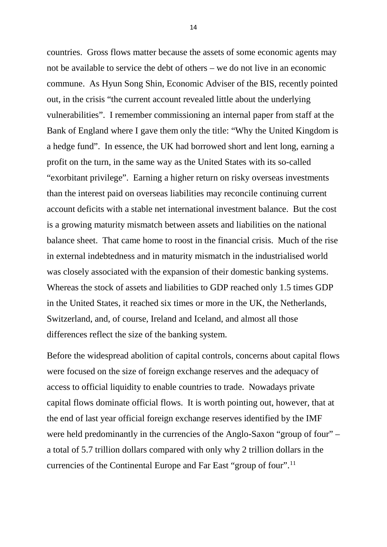countries. Gross flows matter because the assets of some economic agents may not be available to service the debt of others – we do not live in an economic commune. As Hyun Song Shin, Economic Adviser of the BIS, recently pointed out, in the crisis "the current account revealed little about the underlying vulnerabilities". I remember commissioning an internal paper from staff at the Bank of England where I gave them only the title: "Why the United Kingdom is a hedge fund". In essence, the UK had borrowed short and lent long, earning a profit on the turn, in the same way as the United States with its so-called "exorbitant privilege". Earning a higher return on risky overseas investments than the interest paid on overseas liabilities may reconcile continuing current account deficits with a stable net international investment balance. But the cost is a growing maturity mismatch between assets and liabilities on the national balance sheet. That came home to roost in the financial crisis. Much of the rise in external indebtedness and in maturity mismatch in the industrialised world was closely associated with the expansion of their domestic banking systems. Whereas the stock of assets and liabilities to GDP reached only 1.5 times GDP in the United States, it reached six times or more in the UK, the Netherlands, Switzerland, and, of course, Ireland and Iceland, and almost all those differences reflect the size of the banking system.

Before the widespread abolition of capital controls, concerns about capital flows were focused on the size of foreign exchange reserves and the adequacy of access to official liquidity to enable countries to trade. Nowadays private capital flows dominate official flows. It is worth pointing out, however, that at the end of last year official foreign exchange reserves identified by the IMF were held predominantly in the currencies of the Anglo-Saxon "group of four" – a total of 5.7 trillion dollars compared with only why 2 trillion dollars in the currencies of the Continental Europe and Far East "group of four".[11](#page-24-10)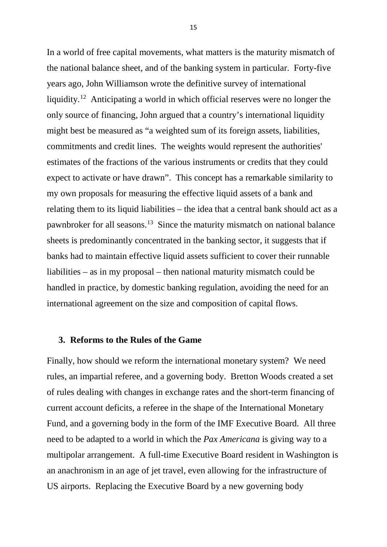In a world of free capital movements, what matters is the maturity mismatch of the national balance sheet, and of the banking system in particular. Forty-five years ago, John Williamson wrote the definitive survey of international liquidity.[12](#page-24-11) Anticipating a world in which official reserves were no longer the only source of financing, John argued that a country's international liquidity might best be measured as "a weighted sum of its foreign assets, liabilities, commitments and credit lines. The weights would represent the authorities' estimates of the fractions of the various instruments or credits that they could expect to activate or have drawn". This concept has a remarkable similarity to my own proposals for measuring the effective liquid assets of a bank and relating them to its liquid liabilities – the idea that a central bank should act as a pawnbroker for all seasons.[13](#page-24-12) Since the maturity mismatch on national balance sheets is predominantly concentrated in the banking sector, it suggests that if banks had to maintain effective liquid assets sufficient to cover their runnable liabilities – as in my proposal – then national maturity mismatch could be handled in practice, by domestic banking regulation, avoiding the need for an international agreement on the size and composition of capital flows.

### **3. Reforms to the Rules of the Game**

Finally, how should we reform the international monetary system? We need rules, an impartial referee, and a governing body. Bretton Woods created a set of rules dealing with changes in exchange rates and the short-term financing of current account deficits, a referee in the shape of the International Monetary Fund, and a governing body in the form of the IMF Executive Board. All three need to be adapted to a world in which the *Pax Americana* is giving way to a multipolar arrangement. A full-time Executive Board resident in Washington is an anachronism in an age of jet travel, even allowing for the infrastructure of US airports. Replacing the Executive Board by a new governing body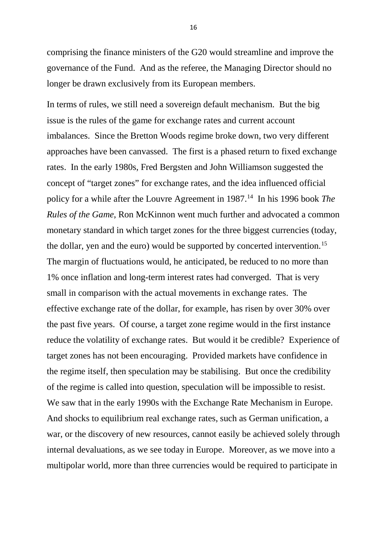comprising the finance ministers of the G20 would streamline and improve the governance of the Fund. And as the referee, the Managing Director should no longer be drawn exclusively from its European members.

In terms of rules, we still need a sovereign default mechanism. But the big issue is the rules of the game for exchange rates and current account imbalances. Since the Bretton Woods regime broke down, two very different approaches have been canvassed. The first is a phased return to fixed exchange rates. In the early 1980s, Fred Bergsten and John Williamson suggested the concept of "target zones" for exchange rates, and the idea influenced official policy for a while after the Louvre Agreement in 1987.<sup>14</sup> In his 1996 book *The Rules of the Game*, Ron McKinnon went much further and advocated a common monetary standard in which target zones for the three biggest currencies (today, the dollar, yen and the euro) would be supported by concerted intervention.<sup>15</sup> The margin of fluctuations would, he anticipated, be reduced to no more than 1% once inflation and long-term interest rates had converged. That is very small in comparison with the actual movements in exchange rates. The effective exchange rate of the dollar, for example, has risen by over 30% over the past five years. Of course, a target zone regime would in the first instance reduce the volatility of exchange rates. But would it be credible? Experience of target zones has not been encouraging. Provided markets have confidence in the regime itself, then speculation may be stabilising. But once the credibility of the regime is called into question, speculation will be impossible to resist. We saw that in the early 1990s with the Exchange Rate Mechanism in Europe. And shocks to equilibrium real exchange rates, such as German unification, a war, or the discovery of new resources, cannot easily be achieved solely through internal devaluations, as we see today in Europe. Moreover, as we move into a multipolar world, more than three currencies would be required to participate in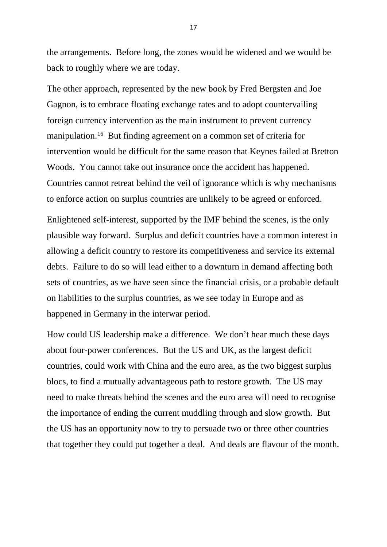the arrangements. Before long, the zones would be widened and we would be back to roughly where we are today.

The other approach, represented by the new book by Fred Bergsten and Joe Gagnon, is to embrace floating exchange rates and to adopt countervailing foreign currency intervention as the main instrument to prevent currency manipulation.<sup>[16](#page-24-15)</sup> But finding agreement on a common set of criteria for intervention would be difficult for the same reason that Keynes failed at Bretton Woods. You cannot take out insurance once the accident has happened. Countries cannot retreat behind the veil of ignorance which is why mechanisms to enforce action on surplus countries are unlikely to be agreed or enforced.

Enlightened self-interest, supported by the IMF behind the scenes, is the only plausible way forward. Surplus and deficit countries have a common interest in allowing a deficit country to restore its competitiveness and service its external debts. Failure to do so will lead either to a downturn in demand affecting both sets of countries, as we have seen since the financial crisis, or a probable default on liabilities to the surplus countries, as we see today in Europe and as happened in Germany in the interwar period.

How could US leadership make a difference. We don't hear much these days about four-power conferences. But the US and UK, as the largest deficit countries, could work with China and the euro area, as the two biggest surplus blocs, to find a mutually advantageous path to restore growth. The US may need to make threats behind the scenes and the euro area will need to recognise the importance of ending the current muddling through and slow growth. But the US has an opportunity now to try to persuade two or three other countries that together they could put together a deal. And deals are flavour of the month.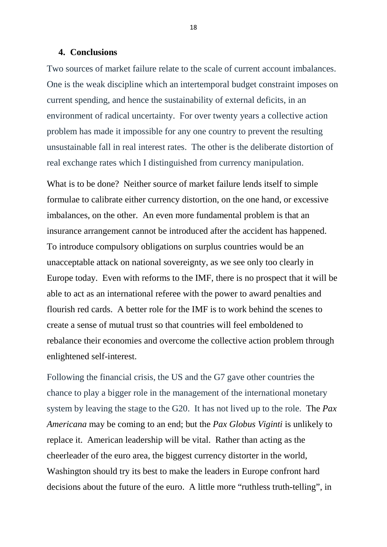#### **4. Conclusions**

Two sources of market failure relate to the scale of current account imbalances. One is the weak discipline which an intertemporal budget constraint imposes on current spending, and hence the sustainability of external deficits, in an environment of radical uncertainty. For over twenty years a collective action problem has made it impossible for any one country to prevent the resulting unsustainable fall in real interest rates. The other is the deliberate distortion of real exchange rates which I distinguished from currency manipulation.

What is to be done? Neither source of market failure lends itself to simple formulae to calibrate either currency distortion, on the one hand, or excessive imbalances, on the other. An even more fundamental problem is that an insurance arrangement cannot be introduced after the accident has happened. To introduce compulsory obligations on surplus countries would be an unacceptable attack on national sovereignty, as we see only too clearly in Europe today. Even with reforms to the IMF, there is no prospect that it will be able to act as an international referee with the power to award penalties and flourish red cards. A better role for the IMF is to work behind the scenes to create a sense of mutual trust so that countries will feel emboldened to rebalance their economies and overcome the collective action problem through enlightened self-interest.

Following the financial crisis, the US and the G7 gave other countries the chance to play a bigger role in the management of the international monetary system by leaving the stage to the G20. It has not lived up to the role. The *Pax Americana* may be coming to an end; but the *Pax Globus Viginti* is unlikely to replace it. American leadership will be vital. Rather than acting as the cheerleader of the euro area, the biggest currency distorter in the world, Washington should try its best to make the leaders in Europe confront hard decisions about the future of the euro. A little more "ruthless truth-telling", in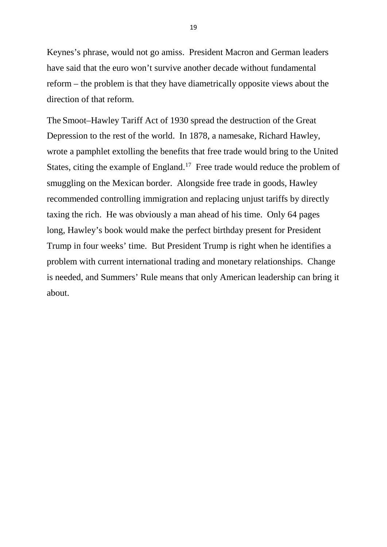Keynes's phrase, would not go amiss. President Macron and German leaders have said that the euro won't survive another decade without fundamental reform – the problem is that they have diametrically opposite views about the direction of that reform.

The Smoot–Hawley Tariff Act of 1930 spread the destruction of the Great Depression to the rest of the world. In 1878, a namesake, Richard Hawley, wrote a pamphlet extolling the benefits that free trade would bring to the United States, citing the example of England.<sup>[17](#page-24-16)</sup> Free trade would reduce the problem of smuggling on the Mexican border. Alongside free trade in goods, Hawley recommended controlling immigration and replacing unjust tariffs by directly taxing the rich. He was obviously a man ahead of his time. Only 64 pages long, Hawley's book would make the perfect birthday present for President Trump in four weeks' time. But President Trump is right when he identifies a problem with current international trading and monetary relationships. Change is needed, and Summers' Rule means that only American leadership can bring it about.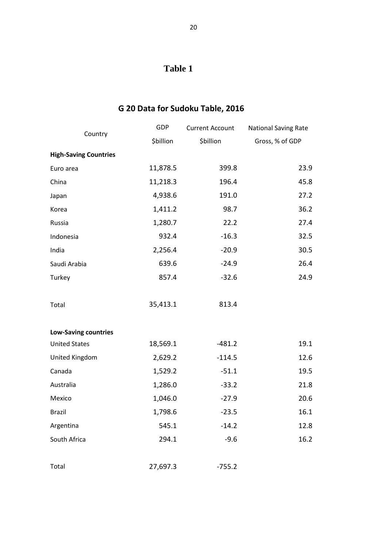## **Table 1**

## **G 20 Data for Sudoku Table, 2016**

| Country                      | <b>GDP</b> | <b>Current Account</b> | National Saving Rate |
|------------------------------|------------|------------------------|----------------------|
|                              | \$billion  | \$billion              | Gross, % of GDP      |
| <b>High-Saving Countries</b> |            |                        |                      |
| Euro area                    | 11,878.5   | 399.8                  | 23.9                 |
| China                        | 11,218.3   | 196.4                  | 45.8                 |
| Japan                        | 4,938.6    | 191.0                  | 27.2                 |
| Korea                        | 1,411.2    | 98.7                   | 36.2                 |
| Russia                       | 1,280.7    | 22.2                   | 27.4                 |
| Indonesia                    | 932.4      | $-16.3$                | 32.5                 |
| India                        | 2,256.4    | $-20.9$                | 30.5                 |
| Saudi Arabia                 | 639.6      | $-24.9$                | 26.4                 |
| Turkey                       | 857.4      | $-32.6$                | 24.9                 |
|                              |            |                        |                      |
| Total                        | 35,413.1   | 813.4                  |                      |
|                              |            |                        |                      |
| <b>Low-Saving countries</b>  |            |                        |                      |
| <b>United States</b>         | 18,569.1   | $-481.2$               | 19.1                 |
| United Kingdom               | 2,629.2    | $-114.5$               | 12.6                 |
| Canada                       | 1,529.2    | $-51.1$                | 19.5                 |
| Australia                    | 1,286.0    | $-33.2$                | 21.8                 |
| Mexico                       | 1,046.0    | $-27.9$                | 20.6                 |
| <b>Brazil</b>                | 1,798.6    | $-23.5$                | 16.1                 |
| Argentina                    | 545.1      | $-14.2$                | 12.8                 |
| South Africa                 | 294.1      | $-9.6$                 | 16.2                 |
|                              |            |                        |                      |
| Total                        | 27,697.3   | $-755.2$               |                      |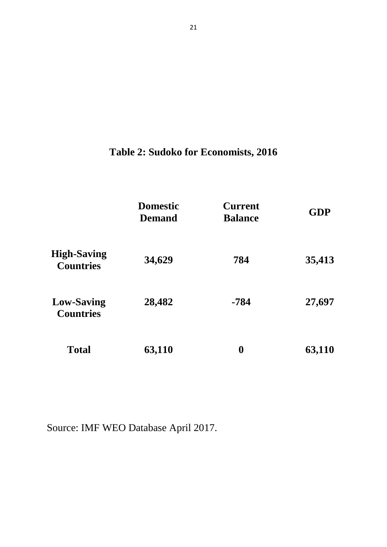## **Table 2: Sudoko for Economists, 2016**

|                                        | <b>Domestic</b><br><b>Demand</b> | <b>Current</b><br><b>Balance</b> | <b>GDP</b> |
|----------------------------------------|----------------------------------|----------------------------------|------------|
| <b>High-Saving</b><br><b>Countries</b> | 34,629                           | 784                              | 35,413     |
| <b>Low-Saving</b><br><b>Countries</b>  | 28,482                           | $-784$                           | 27,697     |
| <b>Total</b>                           | 63,110                           | $\boldsymbol{0}$                 | 63,110     |

Source: IMF WEO Database April 2017.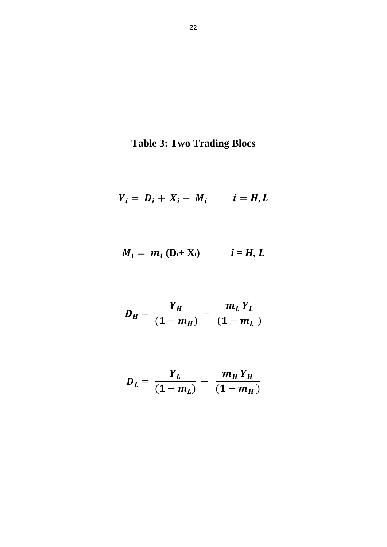# **Table 3: Two Trading Blocs**

$$
Y_i = D_i + X_i - M_i \qquad i = H, L
$$

$$
M_i = m_i (D_i + X_i) \qquad i = H, L
$$

$$
D_H = \frac{Y_H}{(1 - m_H)} - \frac{m_L Y_L}{(1 - m_L)}
$$

$$
D_{L} = \frac{Y_{L}}{(1 - m_{L})} - \frac{m_{H} Y_{H}}{(1 - m_{H})}
$$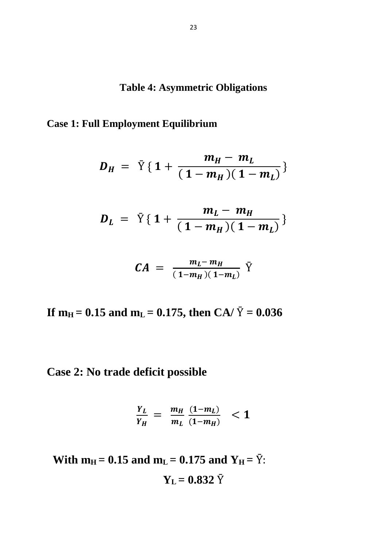**Table 4: Asymmetric Obligations**

### **Case 1: Full Employment Equilibrium**

$$
D_H = \bar{Y} \{ 1 + \frac{m_H - m_L}{(1 - m_H)(1 - m_L)} \}
$$

$$
D_L = \bar{Y} \{ 1 + \frac{m_L - m_H}{(1 - m_H)(1 - m_L)} \}
$$

$$
CA = \frac{m_L - m_H}{(1 - m_H)(1 - m_L)} \bar{Y}
$$

**If**  $m_H = 0.15$  and  $m_L = 0.175$ , then CA/  $\bar{Y} = 0.036$ 

## **Case 2: No trade deficit possible**

$$
\frac{Y_L}{Y_H} = \frac{m_H}{m_L} \frac{(1-m_L)}{(1-m_H)} < 1
$$

**With**  $m_H = 0.15$  **and**  $m_L = 0.175$  **and**  $Y_H = \bar{Y}$ **:**  $Y_L = 0.832 \bar{Y}$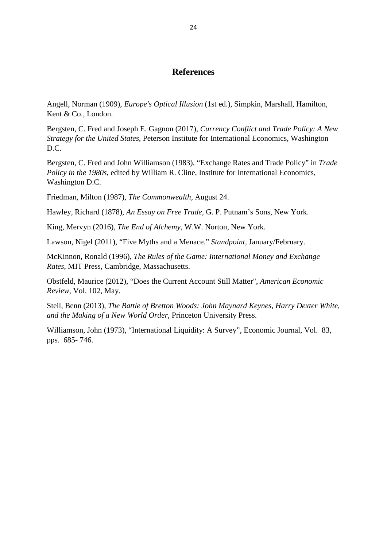### **References**

Angell, Norman (1909), *[Europe's Optical Illusion](https://archive.org/stream/europesopticalil00angeuoft#page/n7/mode/2up)* (1st ed.), Simpkin, Marshall, Hamilton, Kent & Co., London.

Bergsten, C. Fred and Joseph E. Gagnon (2017), *Currency Conflict and Trade Policy: A New Strategy for the United States*, Peterson Institute for International Economics, Washington D.C.

Bergsten, C. Fred and John Williamson (1983), "Exchange Rates and Trade Policy" in *Trade Policy in the 1980s*, edited by William R. Cline, Institute for International Economics, Washington D.C.

Friedman, Milton (1987), *The Commonwealth*, August 24.

Hawley, Richard (1878), *An Essay on Free Trade*, G. P. Putnam's Sons, New York.

King, Mervyn (2016), *The End of Alchemy*, W.W. Norton, New York.

Lawson, Nigel (2011), "Five Myths and a Menace." *Standpoint*, January/February.

McKinnon, Ronald (1996), *The Rules of the Game: International Money and Exchange Rates*, MIT Press, Cambridge, Massachusetts.

Obstfeld, Maurice (2012), "Does the Current Account Still Matter", *American Economic Review*, Vol. 102, May.

Steil, Benn (2013), *The Battle of Bretton Woods: John Maynard Keynes, Harry Dexter White, and the Making of a New World Order*, Princeton University Press.

Williamson, John (1973), "International Liquidity: A Survey", Economic Journal, Vol. 83, pps. 685- 746.